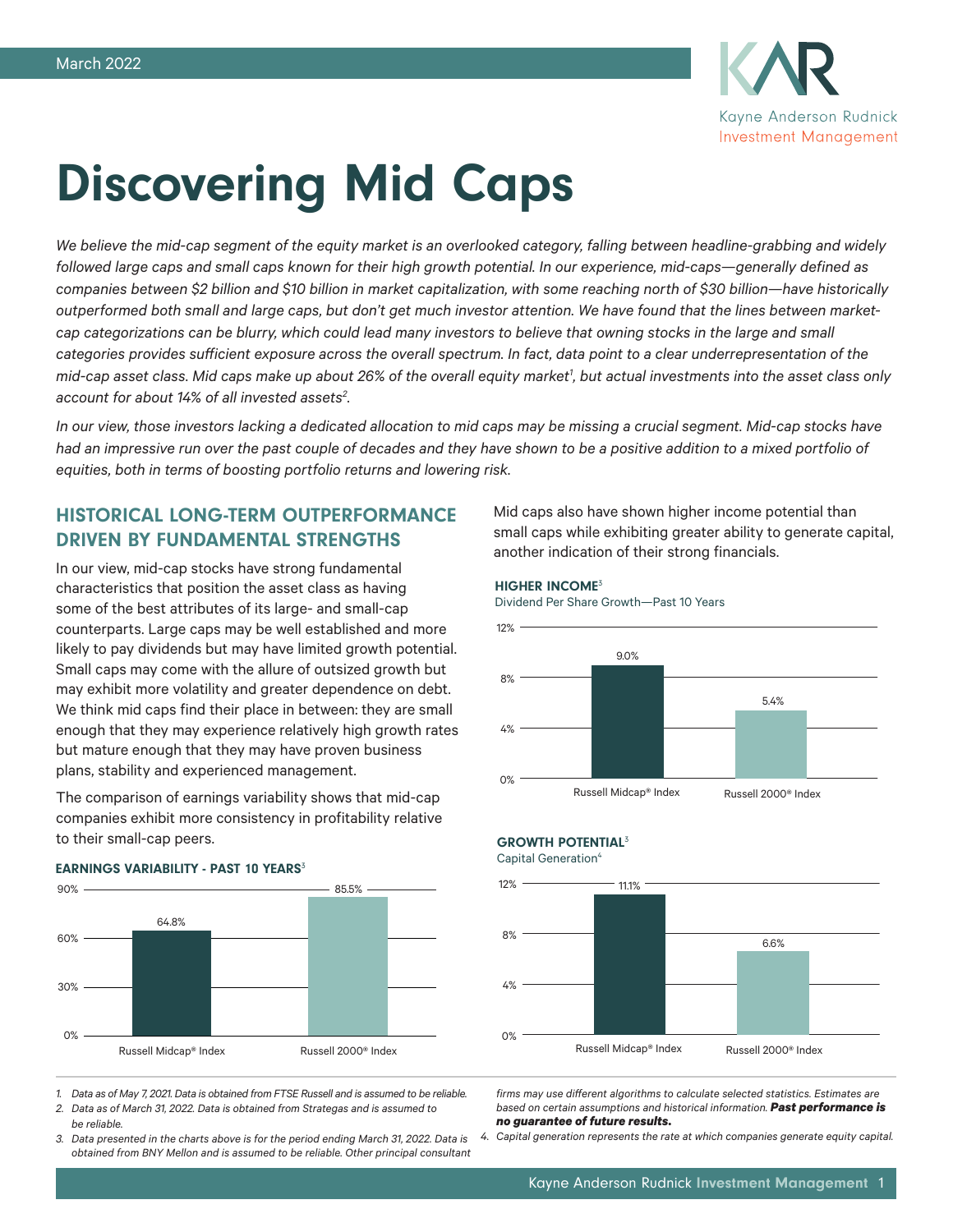

# Discovering Mid Caps

*We believe the mid-cap segment of the equity market is an overlooked category, falling between headline-grabbing and widely followed large caps and small caps known for their high growth potential. In our experience, mid-caps—generally defined as companies between \$2 billion and \$10 billion in market capitalization, with some reaching north of \$30 billion—have historically outperformed both small and large caps, but don't get much investor attention. We have found that the lines between marketcap categorizations can be blurry, which could lead many investors to believe that owning stocks in the large and small categories provides sufficient exposure across the overall spectrum. In fact, data point to a clear underrepresentation of the*  mid-cap asset class. Mid caps make up about 26% of the overall equity market<sup>1</sup>, but actual investments into the asset class only *account for about 14% of all invested assets2 .*

*In our view, those investors lacking a dedicated allocation to mid caps may be missing a crucial segment. Mid-cap stocks have*  had an impressive run over the past couple of decades and they have shown to be a positive addition to a mixed portfolio of *equities, both in terms of boosting portfolio returns and lowering risk.*

# HISTORICAL LONG-TERM OUTPERFORMANCE DRIVEN BY FUNDAMENTAL STRENGTHS

In our view, mid-cap stocks have strong fundamental characteristics that position the asset class as having some of the best attributes of its large- and small-cap counterparts. Large caps may be well established and more likely to pay dividends but may have limited growth potential. Small caps may come with the allure of outsized growth but may exhibit more volatility and greater dependence on debt. We think mid caps find their place in between: they are small enough that they may experience relatively high growth rates but mature enough that they may have proven business plans, stability and experienced management.

The comparison of earnings variability shows that mid-cap companies exhibit more consistency in profitability relative to their small-cap peers.



## EARNINGS VARIABILITY - PAST 10 YEARS<sup>3</sup>

*1. Data as of May 7, 2021. Data is obtained from FTSE Russell and is assumed to be reliable.*

*2. Data as of March 31, 2022. Data is obtained from Strategas and is assumed to be reliable.* 

*3. Data presented in the charts above is for the period ending March 31, 2022. Data is obtained from BNY Mellon and is assumed to be reliable. Other principal consultant* 

Mid caps also have shown higher income potential than small caps while exhibiting greater ability to generate capital, another indication of their strong financials.

#### HIGHER INCOME<sup>3</sup>

Dividend Per Share Growth—Past 10 Years



## **GROWTH POTENTIAL<sup>3</sup>**

Capital Generation<sup>4</sup>



*firms may use different algorithms to calculate selected statistics. Estimates are based on certain assumptions and historical information. Past performance is no guarantee of future results.* 

*4. Capital generation represents the rate at which companies generate equity capital.*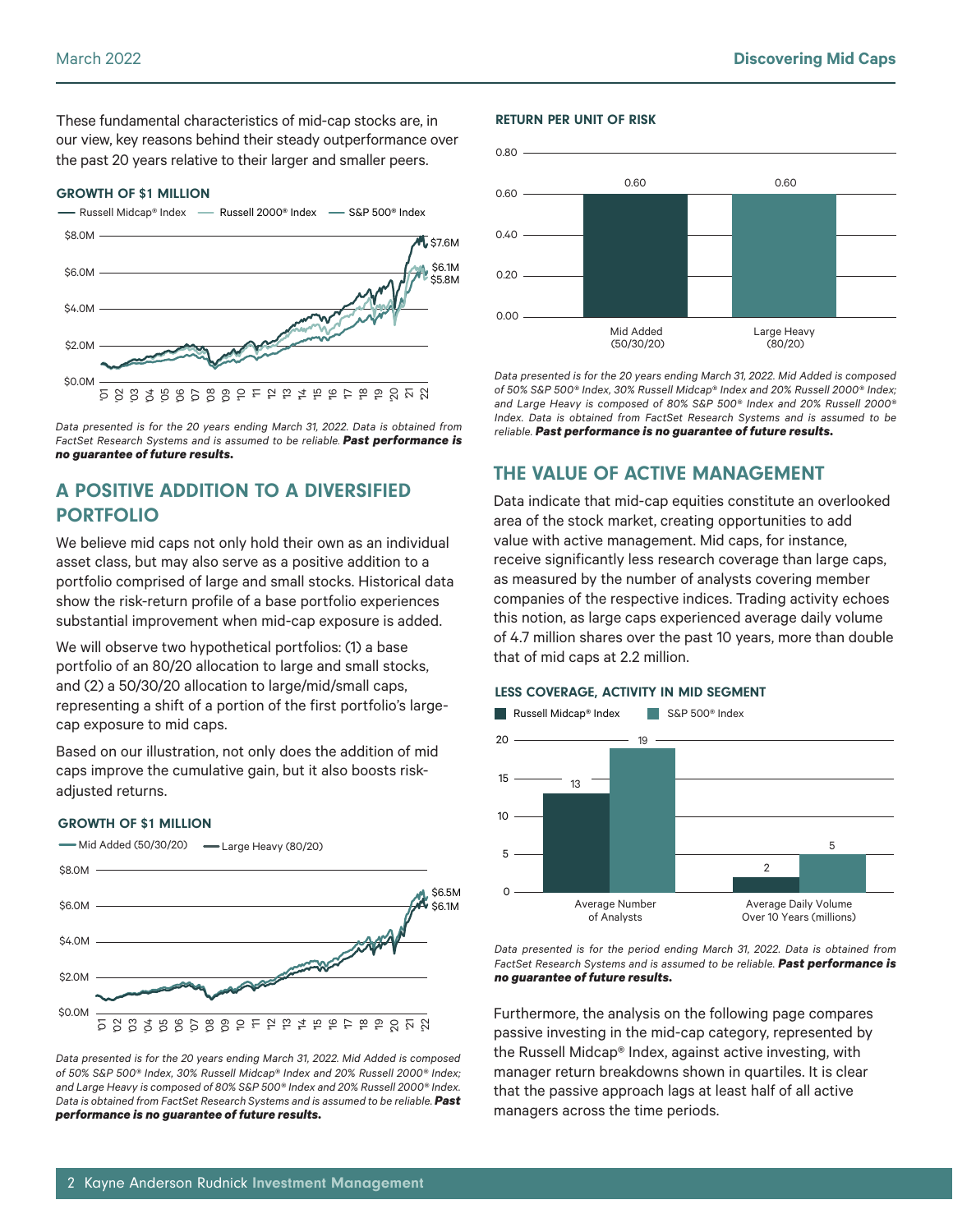These fundamental characteristics of mid-cap stocks are, in our view, key reasons behind their steady outperformance over the past 20 years relative to their larger and smaller peers.

### GROWTH OF \$1 MILLION



*Data presented is for the 20 years ending March 31, 2022. Data is obtained from FactSet Research Systems and is assumed to be reliable. Past performance is no guarantee of future results.*

# A POSITIVE ADDITION TO A DIVERSIFIED PORTFOLIO

We believe mid caps not only hold their own as an individual asset class, but may also serve as a positive addition to a portfolio comprised of large and small stocks. Historical data show the risk-return profile of a base portfolio experiences substantial improvement when mid-cap exposure is added.

We will observe two hypothetical portfolios: (1) a base portfolio of an 80/20 allocation to large and small stocks, and (2) a 50/30/20 allocation to large/mid/small caps, representing a shift of a portion of the first portfolio's largecap exposure to mid caps.

Based on our illustration, not only does the addition of mid caps improve the cumulative gain, but it also boosts riskadjusted returns.

## GROWTH OF \$1 MILLION



*Data presented is for the 20 years ending March 31, 2022. Mid Added is composed of 50% S&P 500® Index, 30% Russell Midcap® Index and 20% Russell 2000® Index; and Large Heavy is composed of 80% S&P 500® Index and 20% Russell 2000® Index. Data is obtained from FactSet Research Systems and is assumed to be reliable. Past performance is no guarantee of future results.*

## RETURN PER UNIT OF RISK



*Data presented is for the 20 years ending March 31, 2022. Mid Added is composed of 50% S&P 500® Index, 30% Russell Midcap® Index and 20% Russell 2000® Index; and Large Heavy is composed of 80% S&P 500® Index and 20% Russell 2000® Index. Data is obtained from FactSet Research Systems and is assumed to be reliable. Past performance is no guarantee of future results.*

# THE VALUE OF ACTIVE MANAGEMENT

Data indicate that mid-cap equities constitute an overlooked area of the stock market, creating opportunities to add value with active management. Mid caps, for instance, receive significantly less research coverage than large caps, as measured by the number of analysts covering member companies of the respective indices. Trading activity echoes this notion, as large caps experienced average daily volume of 4.7 million shares over the past 10 years, more than double that of mid caps at 2.2 million.

## LESS COVERAGE, ACTIVITY IN MID SEGMENT



*Data presented is for the period ending March 31, 2022. Data is obtained from FactSet Research Systems and is assumed to be reliable. Past performance is no guarantee of future results.*

Furthermore, the analysis on the following page compares passive investing in the mid-cap category, represented by the Russell Midcap® Index, against active investing, with manager return breakdowns shown in quartiles. It is clear that the passive approach lags at least half of all active managers across the time periods.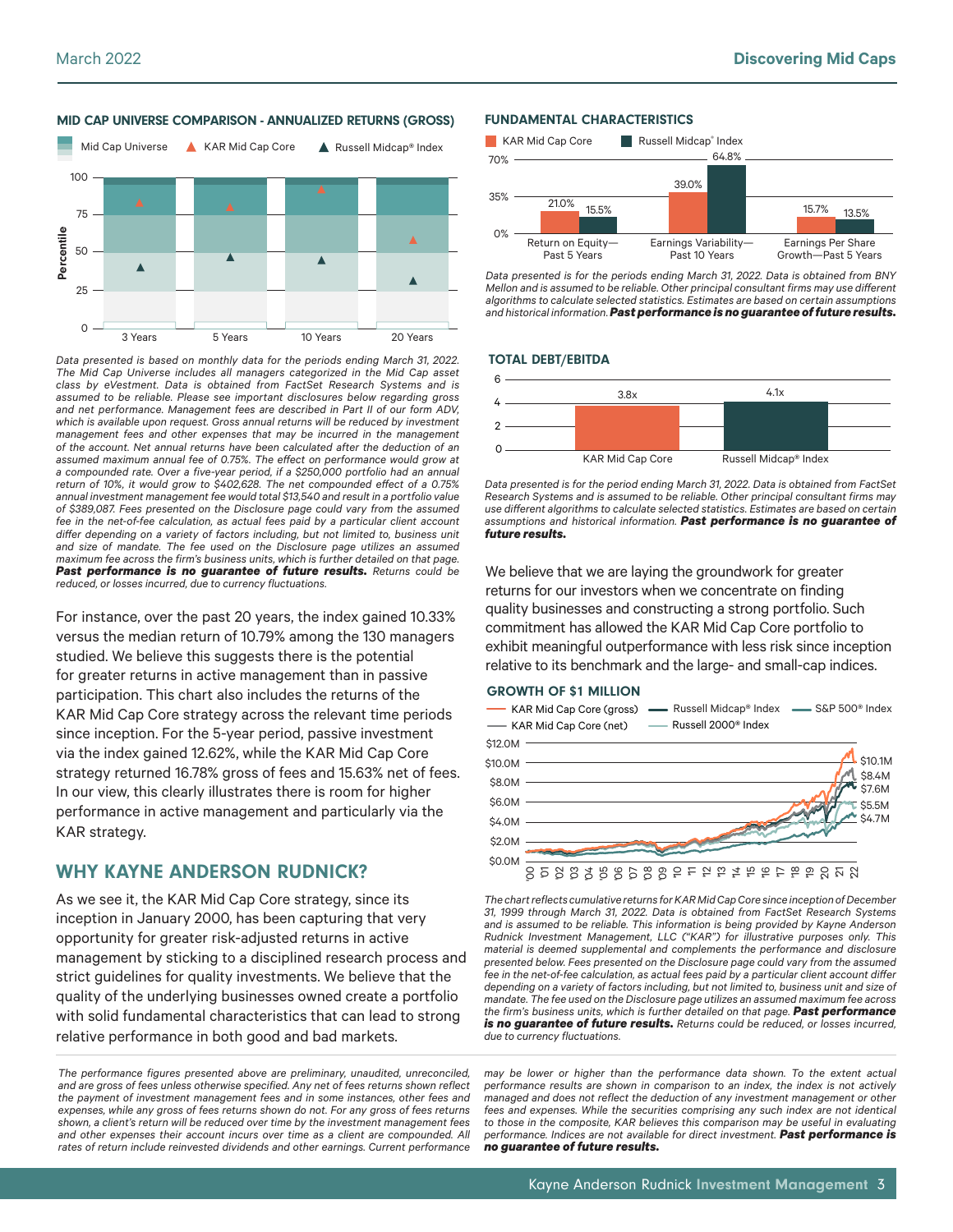

MID CAP UNIVERSE COMPARISON - ANNUALIZED RETURNS (GROSS)



For instance, over the past 20 years, the index gained 10.33% versus the median return of 10.79% among the 130 managers studied. We believe this suggests there is the potential for greater returns in active management than in passive participation. This chart also includes the returns of the KAR Mid Cap Core strategy across the relevant time periods since inception. For the 5-year period, passive investment via the index gained 12.62%, while the KAR Mid Cap Core strategy returned 16.78% gross of fees and 15.63% net of fees. In our view, this clearly illustrates there is room for higher performance in active management and particularly via the KAR strategy.

# WHY KAYNE ANDERSON RUDNICK?

As we see it, the KAR Mid Cap Core strategy, since its inception in January 2000, has been capturing that very opportunity for greater risk-adjusted returns in active management by sticking to a disciplined research process and strict guidelines for quality investments. We believe that the quality of the underlying businesses owned create a portfolio with solid fundamental characteristics that can lead to strong relative performance in both good and bad markets.

*The performance figures presented above are preliminary, unaudited, unreconciled, and are gross of fees unless otherwise specified. Any net of fees returns shown reflect the payment of investment management fees and in some instances, other fees and expenses, while any gross of fees returns shown do not. For any gross of fees returns shown, a client's return will be reduced over time by the investment management fees*  and other expenses their account incurs over time as a client are compounded. All *rates of return include reinvested dividends and other earnings. Current performance* 

#### FUNDAMENTAL CHARACTERISTICS



*Data presented is for the periods ending March 31, 2022. Data is obtained from BNY Mellon and is assumed to be reliable. Other principal consultant firms may use different algorithms to calculate selected statistics. Estimates are based on certain assumptions and historical information.Past performance is no guarantee of future results.*

#### TOTAL DEBT/EBITDA



*Data presented is for the period ending March 31, 2022. Data is obtained from FactSet Research Systems and is assumed to be reliable. Other principal consultant firms may use different algorithms to calculate selected statistics. Estimates are based on certain assumptions and historical information. Past performance is no guarantee of future results.*

We believe that we are laying the groundwork for greater returns for our investors when we concentrate on finding quality businesses and constructing a strong portfolio. Such commitment has allowed the KAR Mid Cap Core portfolio to exhibit meaningful outperformance with less risk since inception relative to its benchmark and the large- and small-cap indices.

#### GROWTH OF \$1 MILLION



*The chart reflects cumulative returns for KAR Mid Cap Core since inception of December 31, 1999 through March 31, 2022. Data is obtained from FactSet Research Systems and is assumed to be reliable. This information is being provided by Kayne Anderson Rudnick Investment Management, LLC ("KAR") for illustrative purposes only. This material is deemed supplemental and complements the performance and disclosure presented below. Fees presented on the Disclosure page could vary from the assumed fee in the net-of-fee calculation, as actual fees paid by a particular client account differ depending on a variety of factors including, but not limited to, business unit and size of mandate. The fee used on the Disclosure page utilizes an assumed maximum fee across the firm's business units, which is further detailed on that page. Past performance is no guarantee of future results. Returns could be reduced, or losses incurred, due to currency fluctuations.*

*may be lower or higher than the performance data shown. To the extent actual performance results are shown in comparison to an index, the index is not actively managed and does not reflect the deduction of any investment management or other fees and expenses. While the securities comprising any such index are not identical to those in the composite, KAR believes this comparison may be useful in evaluating performance. Indices are not available for direct investment. Past performance is no guarantee of future results.*